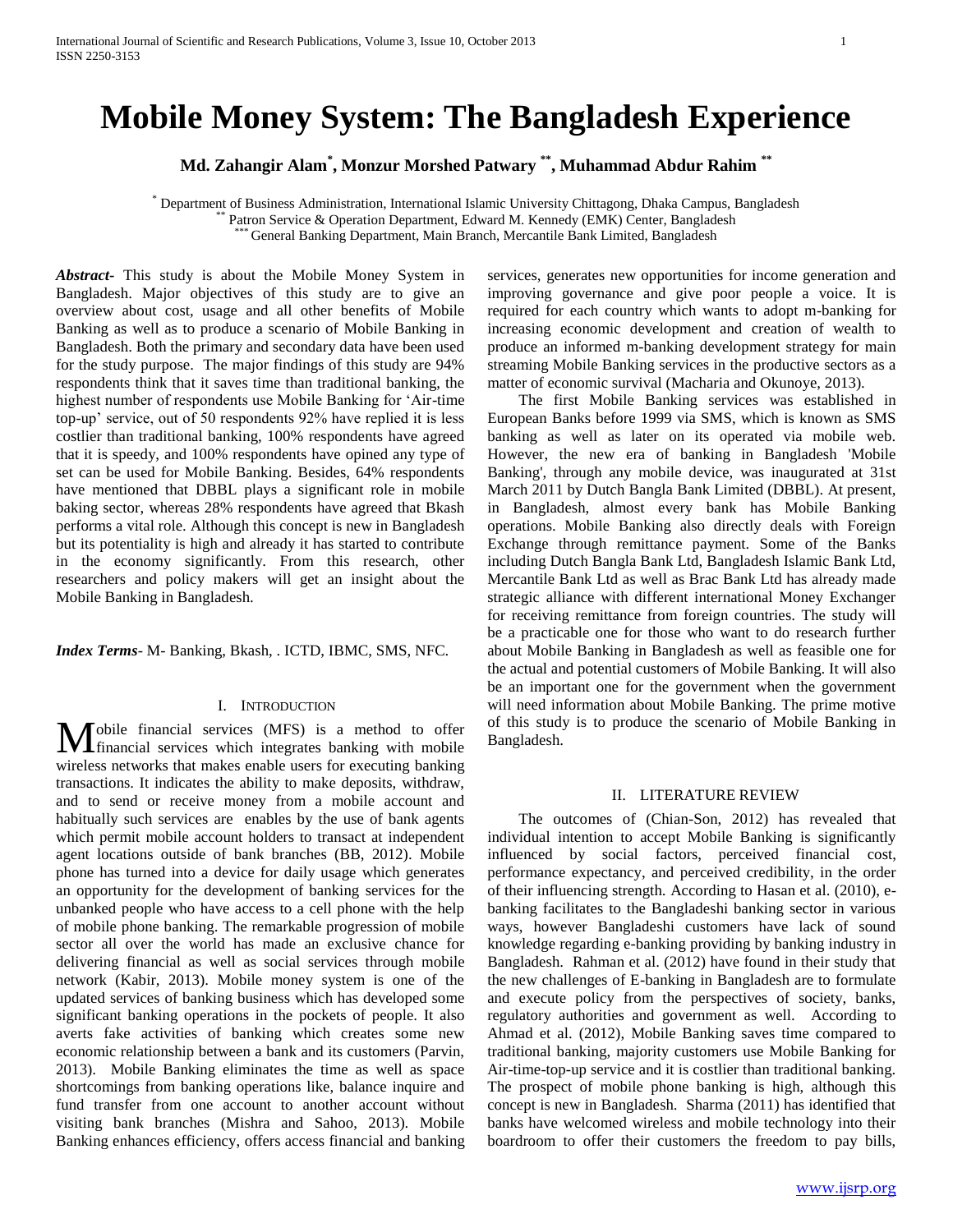# **Mobile Money System: The Bangladesh Experience**

**Md. Zahangir Alam\* , Monzur Morshed Patwary \*\*, Muhammad Abdur Rahim \*\***

\* Department of Business Administration, International Islamic University Chittagong, Dhaka Campus, Bangladesh Patron Service & Operation Department, Edward M. Kennedy (EMK) Center, Bangladesh General Banking Department, Main Branch, Mercantile Bank Limited, Bangladesh

*Abstract***-** This study is about the Mobile Money System in Bangladesh. Major objectives of this study are to give an overview about cost, usage and all other benefits of Mobile Banking as well as to produce a scenario of Mobile Banking in Bangladesh. Both the primary and secondary data have been used for the study purpose. The major findings of this study are 94% respondents think that it saves time than traditional banking, the highest number of respondents use Mobile Banking for "Air-time top-up" service, out of 50 respondents 92% have replied it is less costlier than traditional banking, 100% respondents have agreed that it is speedy, and 100% respondents have opined any type of set can be used for Mobile Banking. Besides, 64% respondents have mentioned that DBBL plays a significant role in mobile baking sector, whereas 28% respondents have agreed that Bkash performs a vital role. Although this concept is new in Bangladesh but its potentiality is high and already it has started to contribute in the economy significantly. From this research, other researchers and policy makers will get an insight about the Mobile Banking in Bangladesh.

*Index Terms*- M- Banking, Bkash, . ICTD, IBMC, SMS, NFC.

## I. INTRODUCTION

obile financial services (MFS) is a method to offer financial services which integrates banking with mobile **M** obile financial services (MFS) is a method to offer financial services which integrates banking with mobile wireless networks that makes enable users for executing banking transactions. It indicates the ability to make deposits, withdraw, and to send or receive money from a mobile account and habitually such services are enables by the use of bank agents which permit mobile account holders to transact at independent agent locations outside of bank branches (BB, 2012). Mobile phone has turned into a device for daily usage which generates an opportunity for the development of banking services for the unbanked people who have access to a cell phone with the help of mobile phone banking. The remarkable progression of mobile sector all over the world has made an exclusive chance for delivering financial as well as social services through mobile network (Kabir, 2013). Mobile money system is one of the updated services of banking business which has developed some significant banking operations in the pockets of people. It also averts fake activities of banking which creates some new economic relationship between a bank and its customers (Parvin, 2013). Mobile Banking eliminates the time as well as space shortcomings from banking operations like, balance inquire and fund transfer from one account to another account without visiting bank branches (Mishra and Sahoo, 2013). Mobile Banking enhances efficiency, offers access financial and banking

services, generates new opportunities for income generation and improving governance and give poor people a voice. It is required for each country which wants to adopt m-banking for increasing economic development and creation of wealth to produce an informed m-banking development strategy for main streaming Mobile Banking services in the productive sectors as a matter of economic survival (Macharia and Okunoye, 2013).

 The first Mobile Banking services was established in European Banks before 1999 via SMS, which is known as SMS banking as well as later on its operated via mobile web. However, the new era of banking in Bangladesh 'Mobile Banking', through any mobile device, was inaugurated at 31st March 2011 by Dutch Bangla Bank Limited (DBBL). At present, in Bangladesh, almost every bank has Mobile Banking operations. Mobile Banking also directly deals with Foreign Exchange through remittance payment. Some of the Banks including Dutch Bangla Bank Ltd, Bangladesh Islamic Bank Ltd, Mercantile Bank Ltd as well as Brac Bank Ltd has already made strategic alliance with different international Money Exchanger for receiving remittance from foreign countries. The study will be a practicable one for those who want to do research further about Mobile Banking in Bangladesh as well as feasible one for the actual and potential customers of Mobile Banking. It will also be an important one for the government when the government will need information about Mobile Banking. The prime motive of this study is to produce the scenario of Mobile Banking in Bangladesh.

# II. LITERATURE REVIEW

 The outcomes of (Chian-Son, 2012) has revealed that individual intention to accept Mobile Banking is significantly influenced by social factors, perceived financial cost, performance expectancy, and perceived credibility, in the order of their influencing strength. According to Hasan et al. (2010), ebanking facilitates to the Bangladeshi banking sector in various ways, however Bangladeshi customers have lack of sound knowledge regarding e-banking providing by banking industry in Bangladesh. Rahman et al. (2012) have found in their study that the new challenges of E-banking in Bangladesh are to formulate and execute policy from the perspectives of society, banks, regulatory authorities and government as well. According to Ahmad et al. (2012), Mobile Banking saves time compared to traditional banking, majority customers use Mobile Banking for Air-time-top-up service and it is costlier than traditional banking. The prospect of mobile phone banking is high, although this concept is new in Bangladesh. Sharma (2011) has identified that banks have welcomed wireless and mobile technology into their boardroom to offer their customers the freedom to pay bills,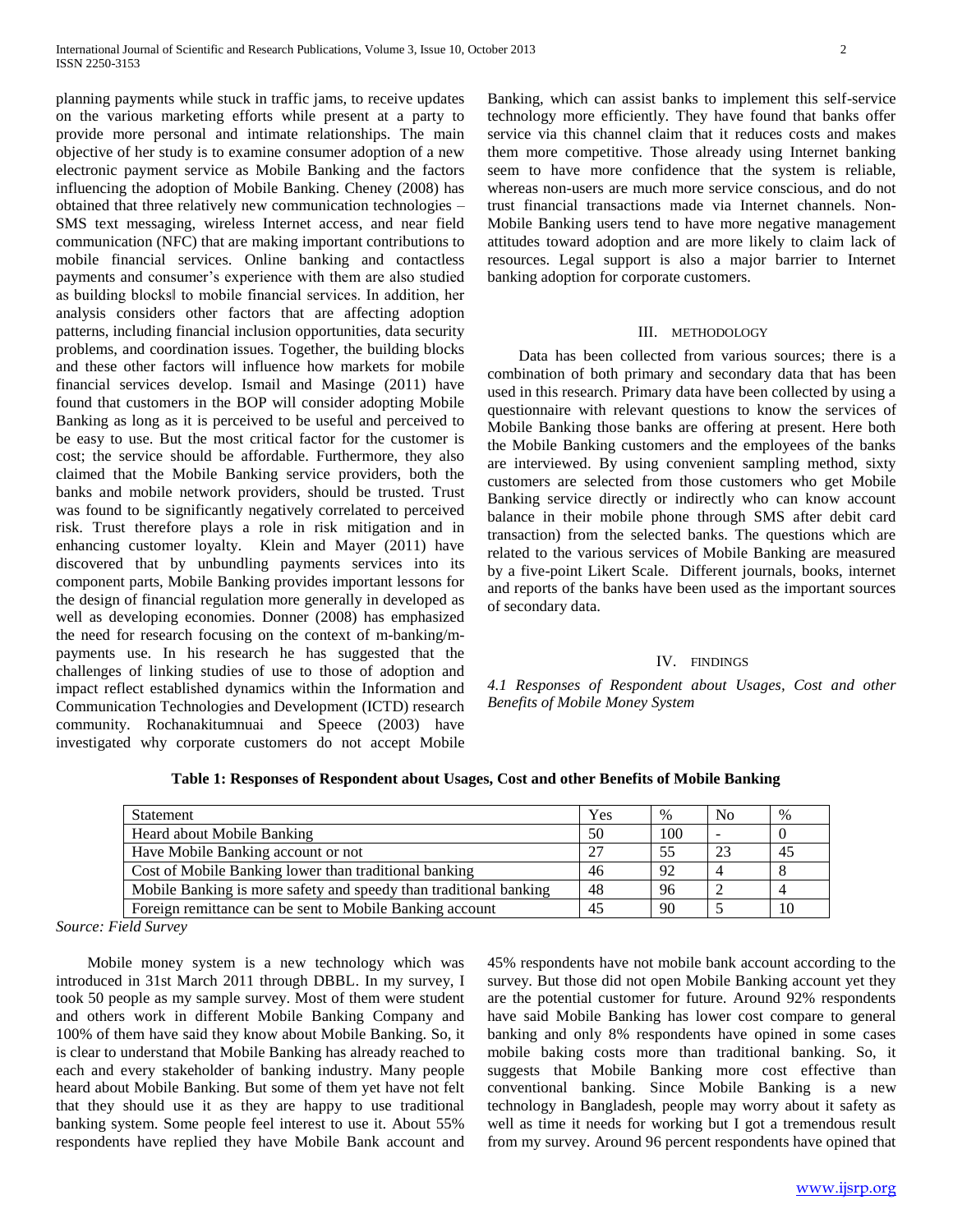planning payments while stuck in traffic jams, to receive updates on the various marketing efforts while present at a party to provide more personal and intimate relationships. The main objective of her study is to examine consumer adoption of a new electronic payment service as Mobile Banking and the factors influencing the adoption of Mobile Banking. Cheney (2008) has obtained that three relatively new communication technologies – SMS text messaging, wireless Internet access, and near field communication (NFC) that are making important contributions to mobile financial services. Online banking and contactless payments and consumer's experience with them are also studied as building blocks‖ to mobile financial services. In addition, her analysis considers other factors that are affecting adoption patterns, including financial inclusion opportunities, data security problems, and coordination issues. Together, the building blocks and these other factors will influence how markets for mobile financial services develop. Ismail and Masinge (2011) have found that customers in the BOP will consider adopting Mobile Banking as long as it is perceived to be useful and perceived to be easy to use. But the most critical factor for the customer is cost; the service should be affordable. Furthermore, they also claimed that the Mobile Banking service providers, both the banks and mobile network providers, should be trusted. Trust was found to be significantly negatively correlated to perceived risk. Trust therefore plays a role in risk mitigation and in enhancing customer loyalty. Klein and Mayer (2011) have discovered that by unbundling payments services into its component parts, Mobile Banking provides important lessons for the design of financial regulation more generally in developed as well as developing economies. Donner (2008) has emphasized the need for research focusing on the context of m-banking/mpayments use. In his research he has suggested that the challenges of linking studies of use to those of adoption and impact reflect established dynamics within the Information and Communication Technologies and Development (ICTD) research community. Rochanakitumnuai and Speece (2003) have investigated why corporate customers do not accept Mobile

Banking, which can assist banks to implement this self-service technology more efficiently. They have found that banks offer service via this channel claim that it reduces costs and makes them more competitive. Those already using Internet banking seem to have more confidence that the system is reliable, whereas non-users are much more service conscious, and do not trust financial transactions made via Internet channels. Non-Mobile Banking users tend to have more negative management attitudes toward adoption and are more likely to claim lack of resources. Legal support is also a major barrier to Internet banking adoption for corporate customers.

### III. METHODOLOGY

 Data has been collected from various sources; there is a combination of both primary and secondary data that has been used in this research. Primary data have been collected by using a questionnaire with relevant questions to know the services of Mobile Banking those banks are offering at present. Here both the Mobile Banking customers and the employees of the banks are interviewed. By using convenient sampling method, sixty customers are selected from those customers who get Mobile Banking service directly or indirectly who can know account balance in their mobile phone through SMS after debit card transaction) from the selected banks. The questions which are related to the various services of Mobile Banking are measured by a five-point Likert Scale. Different journals, books, internet and reports of the banks have been used as the important sources of secondary data.

#### IV. FINDINGS

*4.1 Responses of Respondent about Usages, Cost and other Benefits of Mobile Money System*

**Table 1: Responses of Respondent about Usages, Cost and other Benefits of Mobile Banking**

| <b>Statement</b>                                                  | Yes | $\%$ | No | $\%$ |
|-------------------------------------------------------------------|-----|------|----|------|
| Heard about Mobile Banking                                        | 50  | 100  |    |      |
| Have Mobile Banking account or not                                | 27  | 55   | 23 | 45   |
| Cost of Mobile Banking lower than traditional banking             | 46  | 92   |    |      |
| Mobile Banking is more safety and speedy than traditional banking | 48  | 96   |    |      |
| Foreign remittance can be sent to Mobile Banking account          | 45  | 90   |    | 10   |

*Source: Field Survey*

 Mobile money system is a new technology which was introduced in 31st March 2011 through DBBL. In my survey, I took 50 people as my sample survey. Most of them were student and others work in different Mobile Banking Company and 100% of them have said they know about Mobile Banking. So, it is clear to understand that Mobile Banking has already reached to each and every stakeholder of banking industry. Many people heard about Mobile Banking. But some of them yet have not felt that they should use it as they are happy to use traditional banking system. Some people feel interest to use it. About 55% respondents have replied they have Mobile Bank account and

45% respondents have not mobile bank account according to the survey. But those did not open Mobile Banking account yet they are the potential customer for future. Around 92% respondents have said Mobile Banking has lower cost compare to general banking and only 8% respondents have opined in some cases mobile baking costs more than traditional banking. So, it suggests that Mobile Banking more cost effective than conventional banking. Since Mobile Banking is a new technology in Bangladesh, people may worry about it safety as well as time it needs for working but I got a tremendous result from my survey. Around 96 percent respondents have opined that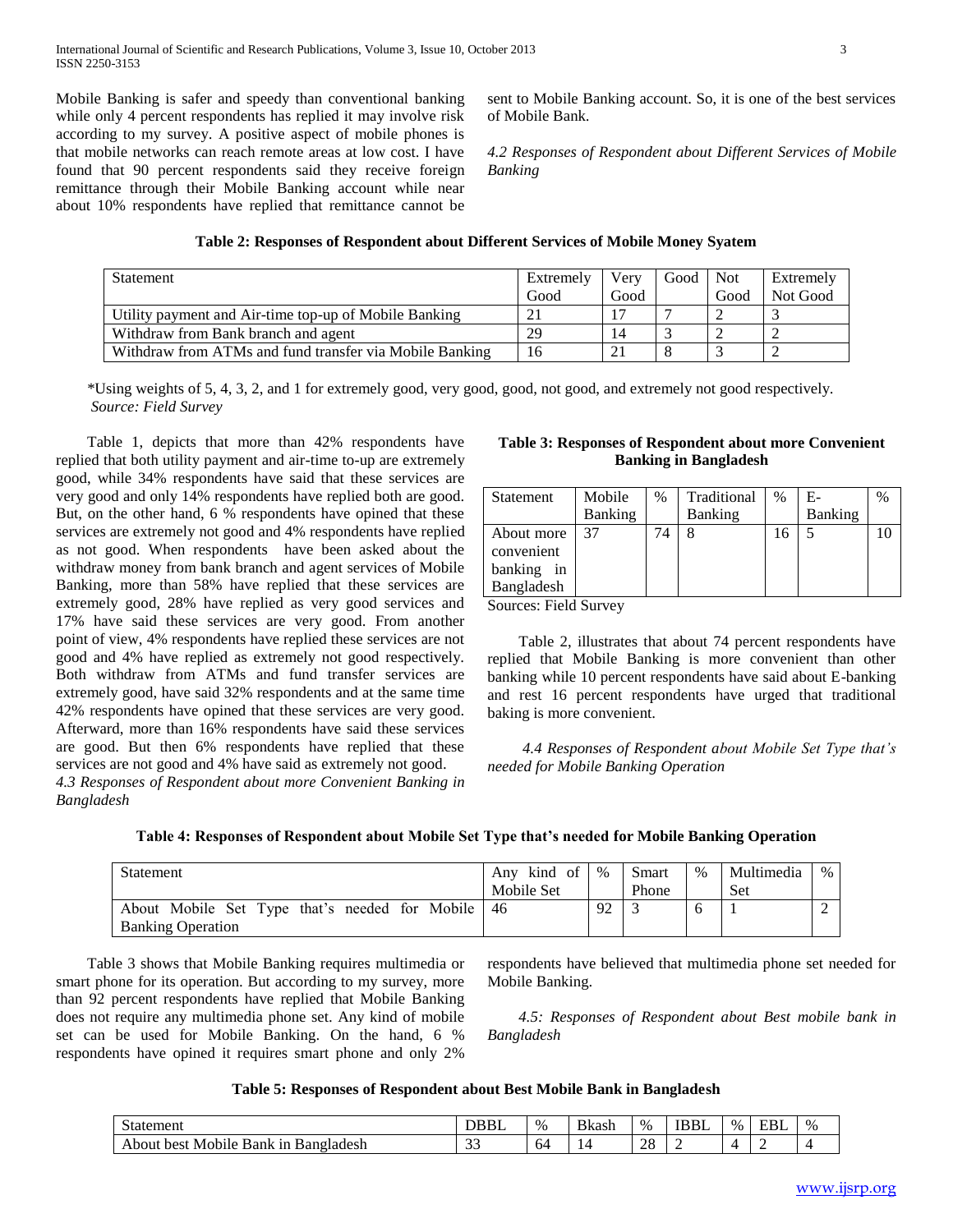Mobile Banking is safer and speedy than conventional banking while only 4 percent respondents has replied it may involve risk according to my survey. A positive aspect of mobile phones is that mobile networks can reach remote areas at low cost. I have found that 90 percent respondents said they receive foreign remittance through their Mobile Banking account while near about 10% respondents have replied that remittance cannot be sent to Mobile Banking account. So, it is one of the best services of Mobile Bank.

*4.2 Responses of Respondent about Different Services of Mobile Banking* 

| Table 2: Responses of Respondent about Different Services of Mobile Money Syatem |  |  |  |  |  |  |  |  |  |
|----------------------------------------------------------------------------------|--|--|--|--|--|--|--|--|--|
|----------------------------------------------------------------------------------|--|--|--|--|--|--|--|--|--|

| Statement                                               | Extremely<br>Good | Verv<br>Good | Good | Not<br>Good | Extremely<br>Not Good |
|---------------------------------------------------------|-------------------|--------------|------|-------------|-----------------------|
| Utility payment and Air-time top-up of Mobile Banking   |                   |              |      |             |                       |
| Withdraw from Bank branch and agent                     | 29                |              |      |             |                       |
| Withdraw from ATMs and fund transfer via Mobile Banking | 16                |              |      |             |                       |

 \*Using weights of 5, 4, 3, 2, and 1 for extremely good, very good, good, not good, and extremely not good respectively.  *Source: Field Survey* 

 Table 1, depicts that more than 42% respondents have replied that both utility payment and air-time to-up are extremely good, while 34% respondents have said that these services are very good and only 14% respondents have replied both are good. But, on the other hand, 6 % respondents have opined that these services are extremely not good and 4% respondents have replied as not good. When respondents have been asked about the withdraw money from bank branch and agent services of Mobile Banking, more than 58% have replied that these services are extremely good, 28% have replied as very good services and 17% have said these services are very good. From another point of view, 4% respondents have replied these services are not good and 4% have replied as extremely not good respectively. Both withdraw from ATMs and fund transfer services are extremely good, have said 32% respondents and at the same time 42% respondents have opined that these services are very good. Afterward, more than 16% respondents have said these services are good. But then 6% respondents have replied that these services are not good and 4% have said as extremely not good.

*4.3 Responses of Respondent about more Convenient Banking in Bangladesh*

# **Table 3: Responses of Respondent about more Convenient Banking in Bangladesh**

| Statement  | Mobile         | % | Traditional | $\%$ | Е-      | % |
|------------|----------------|---|-------------|------|---------|---|
|            | <b>Banking</b> |   | Banking     |      | Banking |   |
| About more | -37            |   |             | 16   |         |   |
| convenient |                |   |             |      |         |   |
| banking in |                |   |             |      |         |   |
| Bangladesh |                |   |             |      |         |   |

Sources: Field Survey

 Table 2, illustrates that about 74 percent respondents have replied that Mobile Banking is more convenient than other banking while 10 percent respondents have said about E-banking and rest 16 percent respondents have urged that traditional baking is more convenient.

 *4.4 Responses of Respondent about Mobile Set Type that's needed for Mobile Banking Operation*

|  |  |  | Table 4: Responses of Respondent about Mobile Set Type that's needed for Mobile Banking Operation |
|--|--|--|---------------------------------------------------------------------------------------------------|
|  |  |  |                                                                                                   |

| Statement                                      | Any kind of | $\%$     | <b>Smart</b> | $\%$ | Multimedia | $\%$ |
|------------------------------------------------|-------------|----------|--------------|------|------------|------|
|                                                | Mobile Set  |          | Phone        |      | Set        |      |
| About Mobile Set Type that's needed for Mobile | $-46$       | $\Omega$ |              | C    |            |      |
| <b>Banking Operation</b>                       |             |          |              |      |            |      |

 Table 3 shows that Mobile Banking requires multimedia or smart phone for its operation. But according to my survey, more than 92 percent respondents have replied that Mobile Banking does not require any multimedia phone set. Any kind of mobile set can be used for Mobile Banking. On the hand, 6 % respondents have opined it requires smart phone and only 2%

respondents have believed that multimedia phone set needed for Mobile Banking.

 *4.5: Responses of Respondent about Best mobile bank in Bangladesh*

### **Table 5: Responses of Respondent about Best Mobile Bank in Bangladesh**

| $\sim$<br>Statement                                             | <b>DBBI</b>        | $\%$ | <b>B</b> kash | $\%$     | <b>IDDI</b><br>IDDL | $\%$ | <b>EBI</b> | $\%$ |
|-----------------------------------------------------------------|--------------------|------|---------------|----------|---------------------|------|------------|------|
| $\cdot$<br>Bangladesh<br>Mobile.<br>best<br>1n<br>About<br>Bank | $\sim$<br><u>-</u> | -64  | ∸             | ററ<br>20 |                     |      |            |      |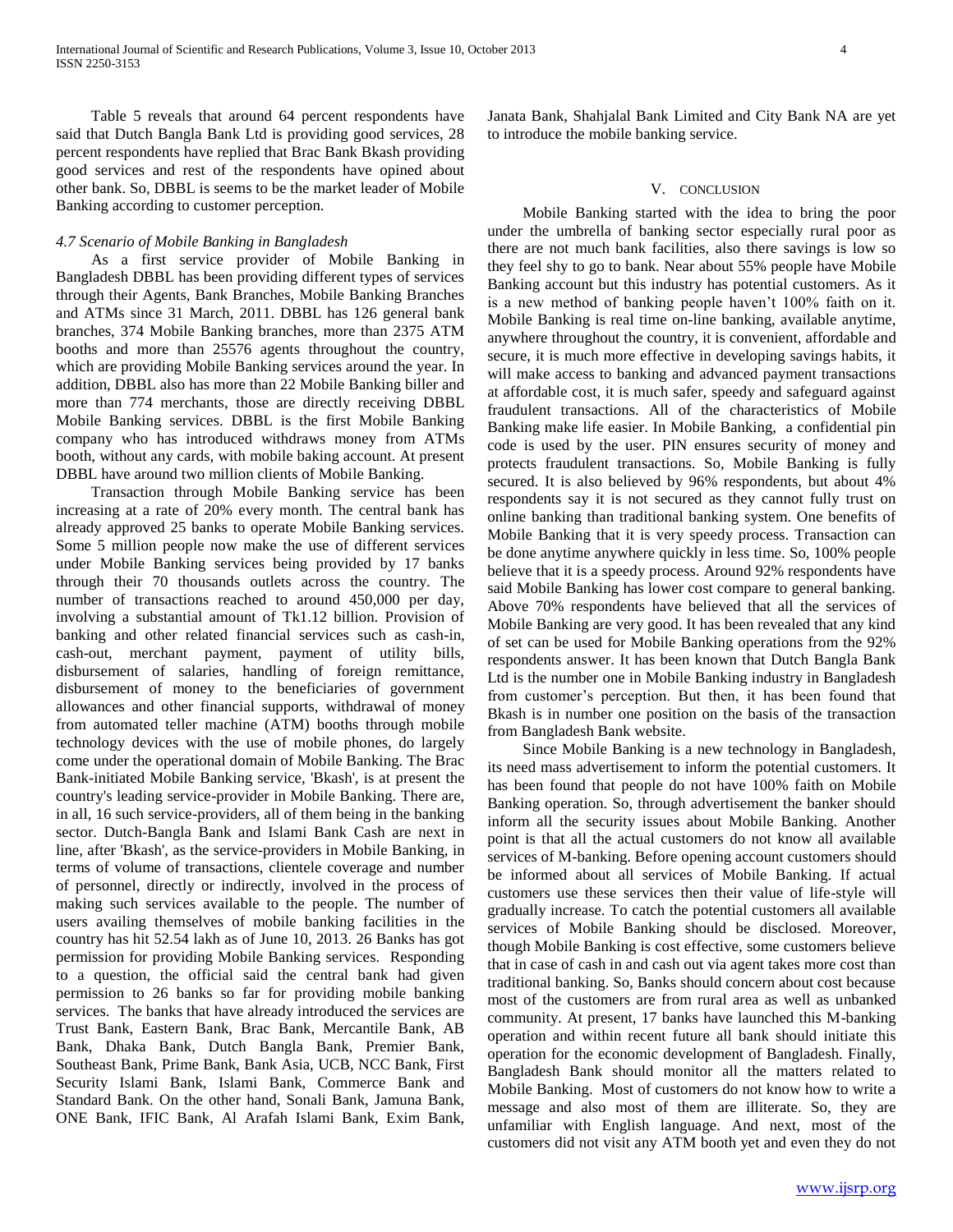Table 5 reveals that around 64 percent respondents have said that Dutch Bangla Bank Ltd is providing good services, 28 percent respondents have replied that Brac Bank Bkash providing good services and rest of the respondents have opined about other bank. So, DBBL is seems to be the market leader of Mobile Banking according to customer perception.

#### *4.7 Scenario of Mobile Banking in Bangladesh*

 As a first service provider of Mobile Banking in Bangladesh DBBL has been providing different types of services through their Agents, Bank Branches, Mobile Banking Branches and ATMs since 31 March, 2011. DBBL has 126 general bank branches, 374 Mobile Banking branches, more than 2375 ATM booths and more than 25576 agents throughout the country, which are providing Mobile Banking services around the year. In addition, DBBL also has more than 22 Mobile Banking biller and more than 774 merchants, those are directly receiving DBBL Mobile Banking services. DBBL is the first Mobile Banking company who has introduced withdraws money from ATMs booth, without any cards, with mobile baking account. At present DBBL have around two million clients of Mobile Banking.

 Transaction through Mobile Banking service has been increasing at a rate of 20% every month. The central bank has already approved 25 banks to operate Mobile Banking services. Some 5 million people now make the use of different services under Mobile Banking services being provided by 17 banks through their 70 thousands outlets across the country. The number of transactions reached to around 450,000 per day, involving a substantial amount of Tk1.12 billion. Provision of banking and other related financial services such as cash-in, cash-out, merchant payment, payment of utility bills, disbursement of salaries, handling of foreign remittance, disbursement of money to the beneficiaries of government allowances and other financial supports, withdrawal of money from automated teller machine (ATM) booths through mobile technology devices with the use of mobile phones, do largely come under the operational domain of Mobile Banking. The Brac Bank-initiated Mobile Banking service, 'Bkash', is at present the country's leading service-provider in Mobile Banking. There are, in all, 16 such service-providers, all of them being in the banking sector. Dutch-Bangla Bank and Islami Bank Cash are next in line, after 'Bkash', as the service-providers in Mobile Banking, in terms of volume of transactions, clientele coverage and number of personnel, directly or indirectly, involved in the process of making such services available to the people. The number of users availing themselves of mobile banking facilities in the country has hit 52.54 lakh as of June 10, 2013. 26 Banks has got permission for providing Mobile Banking services. Responding to a question, the official said the central bank had given permission to 26 banks so far for providing mobile banking services. The banks that have already introduced the services are Trust Bank, Eastern Bank, Brac Bank, Mercantile Bank, AB Bank, Dhaka Bank, Dutch Bangla Bank, Premier Bank, Southeast Bank, Prime Bank, Bank Asia, UCB, NCC Bank, First Security Islami Bank, Islami Bank, Commerce Bank and Standard Bank. On the other hand, Sonali Bank, Jamuna Bank, ONE Bank, IFIC Bank, Al Arafah Islami Bank, Exim Bank,

Janata Bank, Shahjalal Bank Limited and City Bank NA are yet to introduce the mobile banking service.

### V. CONCLUSION

 Mobile Banking started with the idea to bring the poor under the umbrella of banking sector especially rural poor as there are not much bank facilities, also there savings is low so they feel shy to go to bank. Near about 55% people have Mobile Banking account but this industry has potential customers. As it is a new method of banking people haven"t 100% faith on it. Mobile Banking is real time on-line banking, available anytime, anywhere throughout the country, it is convenient, affordable and secure, it is much more effective in developing savings habits, it will make access to banking and advanced payment transactions at affordable cost, it is much safer, speedy and safeguard against fraudulent transactions. All of the characteristics of Mobile Banking make life easier. In Mobile Banking, a confidential pin code is used by the user. PIN ensures security of money and protects fraudulent transactions. So, Mobile Banking is fully secured. It is also believed by 96% respondents, but about 4% respondents say it is not secured as they cannot fully trust on online banking than traditional banking system. One benefits of Mobile Banking that it is very speedy process. Transaction can be done anytime anywhere quickly in less time. So, 100% people believe that it is a speedy process. Around 92% respondents have said Mobile Banking has lower cost compare to general banking. Above 70% respondents have believed that all the services of Mobile Banking are very good. It has been revealed that any kind of set can be used for Mobile Banking operations from the 92% respondents answer. It has been known that Dutch Bangla Bank Ltd is the number one in Mobile Banking industry in Bangladesh from customer"s perception. But then, it has been found that Bkash is in number one position on the basis of the transaction from Bangladesh Bank website.

 Since Mobile Banking is a new technology in Bangladesh, its need mass advertisement to inform the potential customers. It has been found that people do not have 100% faith on Mobile Banking operation. So, through advertisement the banker should inform all the security issues about Mobile Banking. Another point is that all the actual customers do not know all available services of M-banking. Before opening account customers should be informed about all services of Mobile Banking. If actual customers use these services then their value of life-style will gradually increase. To catch the potential customers all available services of Mobile Banking should be disclosed. Moreover, though Mobile Banking is cost effective, some customers believe that in case of cash in and cash out via agent takes more cost than traditional banking. So, Banks should concern about cost because most of the customers are from rural area as well as unbanked community. At present, 17 banks have launched this M-banking operation and within recent future all bank should initiate this operation for the economic development of Bangladesh. Finally, Bangladesh Bank should monitor all the matters related to Mobile Banking. Most of customers do not know how to write a message and also most of them are illiterate. So, they are unfamiliar with English language. And next, most of the customers did not visit any ATM booth yet and even they do not